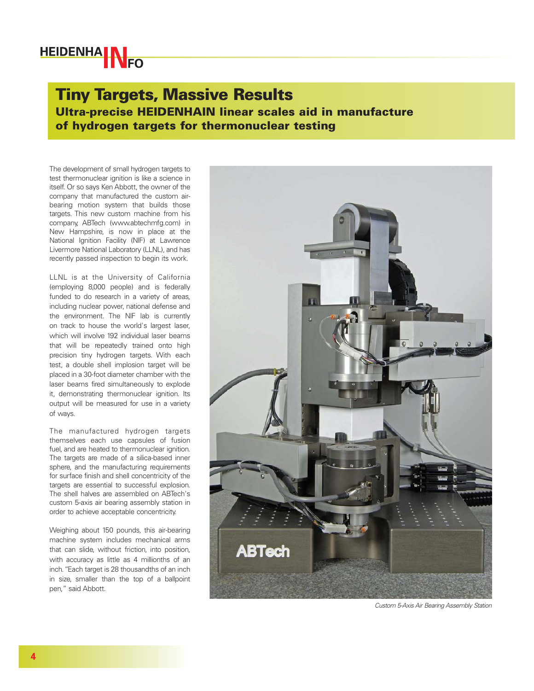## **HEIDENHAMNEO**

## Tiny Targets, Massive Results Ultra-precise HEIDENHAIN linear scales aid in manufacture of hydrogen targets for thermonuclear testing

The development of small hydrogen targets to test thermonuclear ignition is like a science in itself. Or so says Ken Abbott, the owner of the company that manufactured the custom airbearing motion system that builds those targets. This new custom machine from his company, ABTech (www.abtechmfg.com) in New Hampshire, is now in place at the National Ignition Facility (NIF) at Lawrence Livermore National Laboratory (LLNL), and has recently passed inspection to begin its work.

LLNL is at the University of California (employing 8,000 people) and is federally funded to do research in a variety of areas, including nuclear power, national defense and the environment. The NIF lab is currently on track to house the world's largest laser, which will involve 192 individual laser beams that will be repeatedly trained onto high precision tiny hydrogen targets. With each test, a double shell implosion target will be placed in a 30-foot diameter chamber with the laser beams fired simultaneously to explode it, demonstrating thermonuclear ignition. Its output will be measured for use in a variety of ways.

The manufactured hydrogen targets themselves each use capsules of fusion fuel, and are heated to thermonuclear ignition. The targets are made of a silica-based inner sphere, and the manufacturing requirements for surface finish and shell concentricity of the targets are essential to successful explosion. The shell halves are assembled on ABTech's custom 5-axis air bearing assembly station in order to achieve acceptable concentricity.

Weighing about 150 pounds, this air-bearing machine system includes mechanical arms that can slide, without friction, into position, with accuracy as little as 4 millionths of an inch."Each target is 28 thousandths of an inch in size, smaller than the top of a ballpoint pen," said Abbott.



Custom 5-Axis Air Bearing Assembly Station